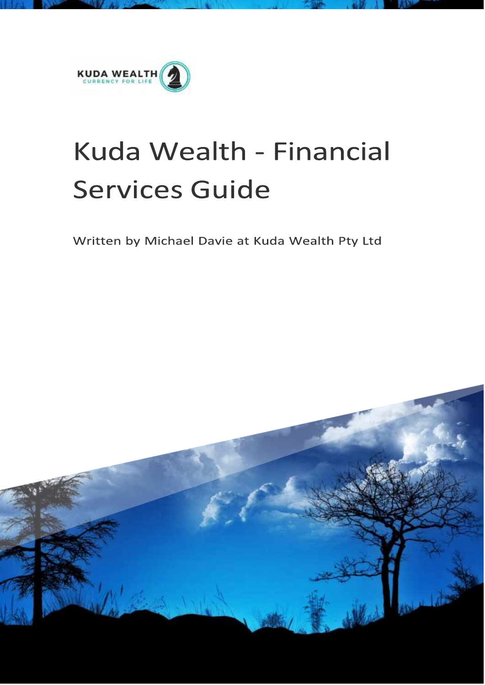

# Kuda Wealth - Financial **Services Guide**

Written by Michael Davie at Kuda Wealth Pty Ltd

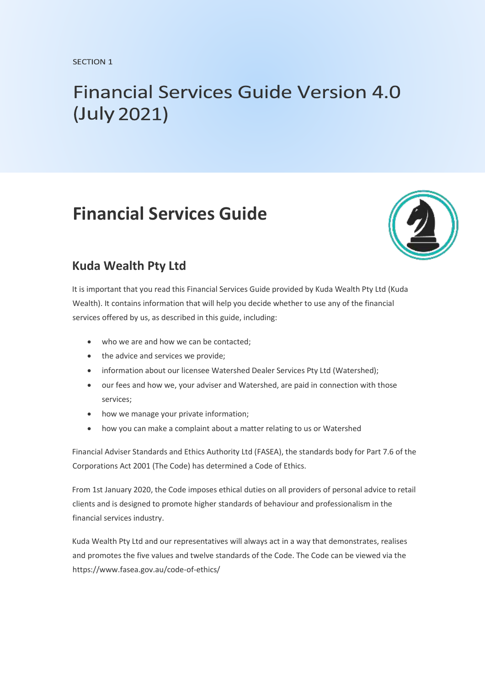# **Financial Services Guide Version 4.0** (July 2021)

## **Financial Services Guide**



### **Kuda Wealth Pty Ltd**

It is important that you read this Financial Services Guide provided by Kuda Wealth Pty Ltd (Kuda Wealth). It contains information that will help you decide whether to use any of the financial services offered by us, as described in this guide, including:

- who we are and how we can be contacted;
- the advice and services we provide:
- information about our licensee Watershed Dealer Services Pty Ltd (Watershed);
- our fees and how we, your adviser and Watershed, are paid in connection with those services;
- how we manage your private information;
- how you can make a complaint about a matter relating to us or Watershed

Financial Adviser Standards and Ethics Authority Ltd (FASEA), the standards body for Part 7.6 of the Corporations Act 2001 (The Code) has determined a Code of Ethics.

From 1st January 2020, the Code imposes ethical duties on all providers of personal advice to retail clients and is designed to promote higher standards of behaviour and professionalism in the financial services industry.

Kuda Wealth Pty Ltd and our representatives will always act in a way that demonstrates, realises and promotes the five values and twelve standards of the Code. The Code can be viewed via the https://www.fasea.gov.au/code-of-ethics/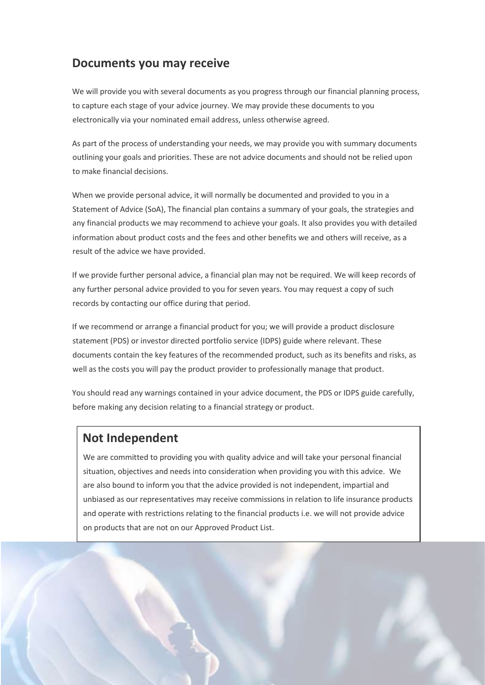### **Documents you may receive**

We will provide you with several documents as you progress through our financial planning process, to capture each stage of your advice journey. We may provide these documents to you electronically via your nominated email address, unless otherwise agreed.

As part of the process of understanding your needs, we may provide you with summary documents outlining your goals and priorities. These are not advice documents and should not be relied upon to make financial decisions.

When we provide personal advice, it will normally be documented and provided to you in a Statement of Advice (SoA), The financial plan contains a summary of your goals, the strategies and any financial products we may recommend to achieve your goals. It also provides you with detailed information about product costs and the fees and other benefits we and others will receive, as a result of the advice we have provided.

If we provide further personal advice, a financial plan may not be required. We will keep records of any further personal advice provided to you for seven years. You may request a copy of such records by contacting our office during that period.

If we recommend or arrange a financial product for you; we will provide a product disclosure statement (PDS) or investor directed portfolio service {IDPS) guide where relevant. These documents contain the key features of the recommended product, such as its benefits and risks, as well as the costs you will pay the product provider to professionally manage that product.

You should read any warnings contained in your advice document, the PDS or IDPS guide carefully, before making any decision relating to a financial strategy or product.

### **Not Independent**

We are committed to providing you with quality advice and will take your personal financial situation, objectives and needs into consideration when providing you with this advice. We are also bound to inform you that the advice provided is not independent, impartial and unbiased as our representatives may receive commissions in relation to life insurance products and operate with restrictions relating to the financial products i.e. we will not provide advice on products that are not on our Approved Product List.

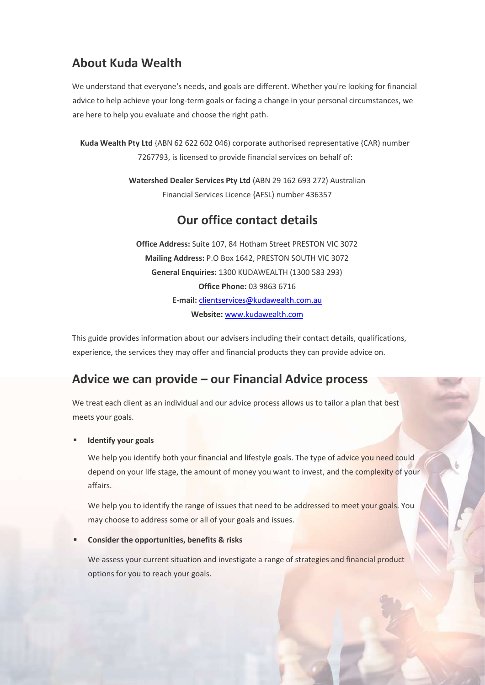### **About Kuda Wealth**

We understand that everyone's needs, and goals are different. Whether you're looking for financial advice to help achieve your long-term goals or facing a change in your personal circumstances, we are here to help you evaluate and choose the right path.

**Kuda Wealth Pty Ltd** {ABN 62 622 602 046) corporate authorised representative {CAR) number 7267793, is licensed to provide financial services on behalf of:

> **Watershed Dealer Services Pty Ltd** (ABN 29 162 693 272) Australian Financial Services Licence {AFSL) number 436357

### **Our office contact details**

**Office Address:** Suite 107, 84 Hotham Street PRESTON VIC 3072 **Mailing Address:** P.O Box 1642, PRESTON SOUTH VIC 3072 **General Enquiries:** 1300 KUDAWEALTH (1300 583 293) **Office Phone:** 03 9863 6716 **E-mail:** clientservices@kudawealth.com.au **Website:** [www.kudawealth.com](https://kudawealth.com/)

This guide provides information about our advisers including their contact details, qualifications, experience, the services they may offer and financial products they can provide advice on.

### **Advice we can provide – our Financial Advice process**

We treat each client as an individual and our advice process allows us to tailor a plan that best meets your goals.

#### **Identify your goals**

We help you identify both your financial and lifestyle goals. The type of advice you need could depend on your life stage, the amount of money you want to invest, and the complexity of your affairs.

We help you to identify the range of issues that need to be addressed to meet your goals. You may choose to address some or all of your goals and issues.

#### **Consider the opportunities, benefits & risks**

We assess your current situation and investigate a range of strategies and financial product options for you to reach your goals.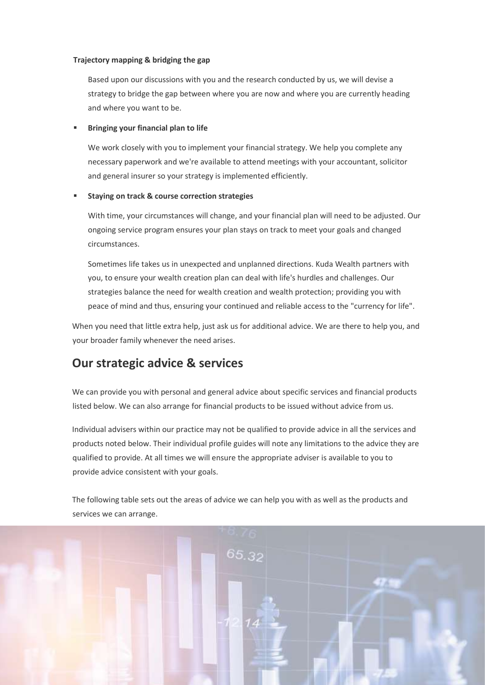#### **Trajectory mapping & bridging the gap**

Based upon our discussions with you and the research conducted by us, we will devise a strategy to bridge the gap between where you are now and where you are currently heading and where you want to be.

#### **Bringing your financial plan to life**

We work closely with you to implement your financial strategy. We help you complete any necessary paperwork and we're available to attend meetings with your accountant, solicitor and general insurer so your strategy is implemented efficiently.

#### **Staying on track & course correction strategies**

With time, your circumstances will change, and your financial plan will need to be adjusted. Our ongoing service program ensures your plan stays on track to meet your goals and changed circumstances.

Sometimes life takes us in unexpected and unplanned directions. Kuda Wealth partners with you, to ensure your wealth creation plan can deal with life's hurdles and challenges. Our strategies balance the need for wealth creation and wealth protection; providing you with peace of mind and thus, ensuring your continued and reliable access to the "currency for life".

When you need that little extra help, just ask us for additional advice. We are there to help you, and your broader family whenever the need arises.

### **Our strategic advice & services**

We can provide you with personal and general advice about specific services and financial products listed below. We can also arrange for financial products to be issued without advice from us.

Individual advisers within our practice may not be qualified to provide advice in all the services and products noted below. Their individual profile guides will note any limitations to the advice they are qualified to provide. At all times we will ensure the appropriate adviser is available to you to provide advice consistent with your goals.

The following table sets out the areas of advice we can help you with as well as the products and services we can arrange.

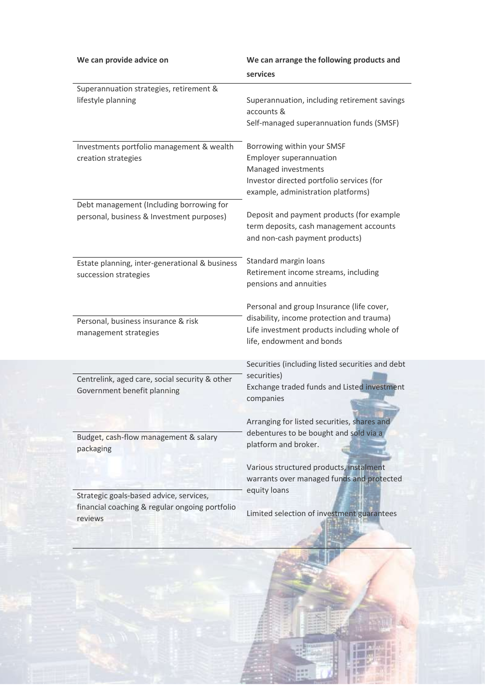|                                                | We can arrange the following products and        |  |
|------------------------------------------------|--------------------------------------------------|--|
|                                                | services                                         |  |
| Superannuation strategies, retirement &        |                                                  |  |
| lifestyle planning                             | Superannuation, including retirement savings     |  |
|                                                | accounts &                                       |  |
|                                                | Self-managed superannuation funds (SMSF)         |  |
| Investments portfolio management & wealth      | Borrowing within your SMSF                       |  |
| creation strategies                            | <b>Employer superannuation</b>                   |  |
|                                                | Managed investments                              |  |
|                                                | Investor directed portfolio services (for        |  |
|                                                | example, administration platforms)               |  |
| Debt management (Including borrowing for       | Deposit and payment products (for example        |  |
| personal, business & Investment purposes)      | term deposits, cash management accounts          |  |
|                                                | and non-cash payment products)                   |  |
|                                                |                                                  |  |
| Estate planning, inter-generational & business | Standard margin loans                            |  |
| succession strategies                          | Retirement income streams, including             |  |
|                                                | pensions and annuities                           |  |
|                                                | Personal and group Insurance (life cover,        |  |
| Personal, business insurance & risk            | disability, income protection and trauma)        |  |
| management strategies                          | Life investment products including whole of      |  |
|                                                | life, endowment and bonds                        |  |
|                                                | Securities (including listed securities and debt |  |
| Centrelink, aged care, social security & other | securities)                                      |  |
| Government benefit planning                    | Exchange traded funds and Listed investment      |  |
|                                                | companies                                        |  |
|                                                |                                                  |  |
|                                                | Arranging for listed securities, shares and      |  |
| Budget, cash-flow management & salary          | debentures to be bought and sold via a           |  |
| packaging                                      | platform and broker.                             |  |
|                                                | Various structured products, instalment          |  |
|                                                | warrants over managed funds and protected        |  |
| Strategic goals-based advice, services,        | equity loans                                     |  |
| financial coaching & regular ongoing portfolio |                                                  |  |
| reviews                                        | Limited selection of investment guarantees       |  |
|                                                |                                                  |  |
|                                                |                                                  |  |
|                                                |                                                  |  |

J.

Fø f

¥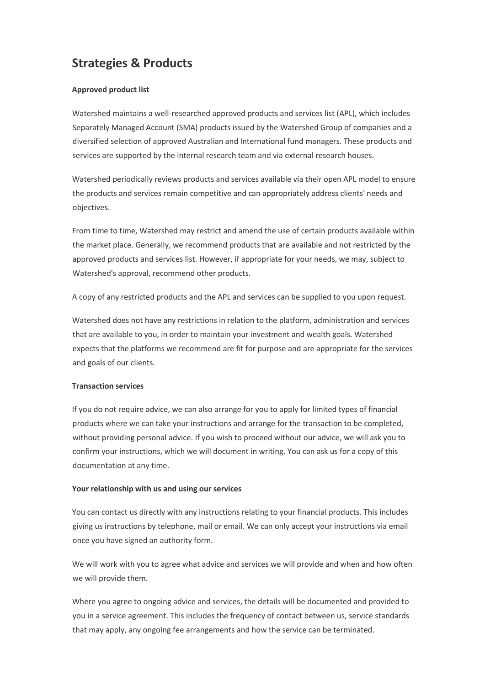### **Strategies & Products**

#### **Approved product list**

Watershed maintains a well-researched approved products and services list (APL), which includes Separately Managed Account (SMA) products issued by the Watershed Group of companies and a diversified selection of approved Australian and International fund managers. These products and services are supported by the internal research team and via external research houses.

Watershed periodically reviews products and services available via their open APL model to ensure the products and services remain competitive and can appropriately address clients' needs and objectives.

From time to time, Watershed may restrict and amend the use of certain products available within the market place. Generally, we recommend products that are available and not restricted by the approved products and services list. However, if appropriate for your needs, we may, subject to Watershed's approval, recommend other products.

A copy of any restricted products and the APL and services can be supplied to you upon request.

Watershed does not have any restrictions in relation to the platform, administration and services that are available to you, in order to maintain your investment and wealth goals. Watershed expects that the platforms we recommend are fit for purpose and are appropriate for the services and goals of our clients.

#### **Transaction services**

If you do not require advice, we can also arrange for you to apply for limited types of financial products where we can take your instructions and arrange for the transaction to be completed, without providing personal advice. If you wish to proceed without our advice, we will ask you to confirm your instructions, which we will document in writing. You can ask us for a copy of this documentation at any time.

#### **Your relationship with us and using our services**

You can contact us directly with any instructions relating to your financial products. This includes giving us instructions by telephone, mail or email. We can only accept your instructions via email once you have signed an authority form.

We will work with you to agree what advice and services we will provide and when and how often we will provide them.

Where you agree to ongoing advice and services, the details will be documented and provided to you in a service agreement. This includes the frequency of contact between us, service standards that may apply, any ongoing fee arrangements and how the service can be terminated.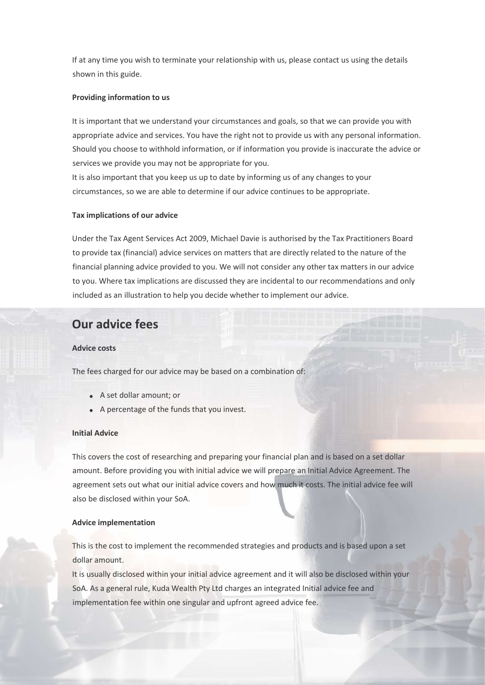If at any time you wish to terminate your relationship with us, please contact us using the details shown in this guide.

#### **Providing information to us**

It is important that we understand your circumstances and goals, so that we can provide you with appropriate advice and services. You have the right not to provide us with any personal information. Should you choose to withhold information, or if information you provide is inaccurate the advice or services we provide you may not be appropriate for you.

It is also important that you keep us up to date by informing us of any changes to your circumstances, so we are able to determine if our advice continues to be appropriate.

#### **Tax implications of our advice**

Under the Tax Agent Services Act 2009, Michael Davie is authorised by the Tax Practitioners Board to provide tax (financial) advice services on matters that are directly related to the nature of the financial planning advice provided to you. We will not consider any other tax matters in our advice to you. Where tax implications are discussed they are incidental to our recommendations and only included as an illustration to help you decide whether to implement our advice.

### **Our advice fees**

#### **Advice costs**

The fees charged for our advice may be based on a combination of:

- A set dollar amount; or
- A percentage of the funds that you invest.

#### **Initial Advice**

This covers the cost of researching and preparing your financial plan and is based on a set dollar amount. Before providing you with initial advice we will prepare an Initial Advice Agreement. The agreement sets out what our initial advice covers and how much it costs. The initial advice fee will also be disclosed within your SoA.

#### **Advice implementation**

This is the cost to implement the recommended strategies and products and is based upon a set dollar amount.

It is usually disclosed within your initial advice agreement and it will also be disclosed within your SoA. As a general rule, Kuda Wealth Pty Ltd charges an integrated Initial advice fee and implementation fee within one singular and upfront agreed advice fee.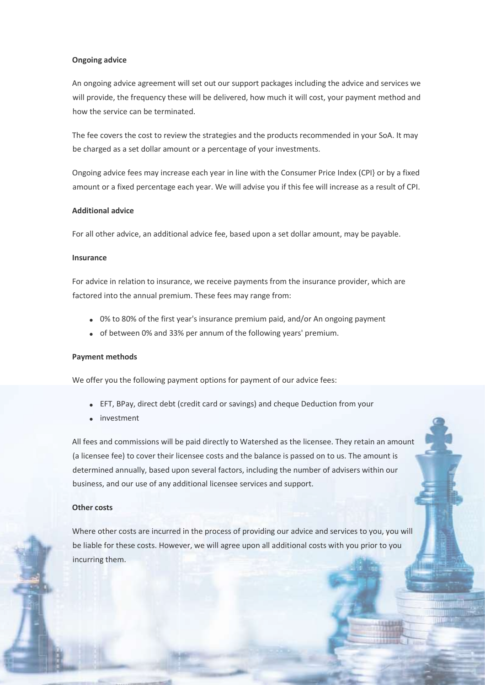#### **Ongoing advice**

An ongoing advice agreement will set out our support packages including the advice and services we will provide, the frequency these will be delivered, how much it will cost, your payment method and how the service can be terminated.

The fee covers the cost to review the strategies and the products recommended in your SoA. It may be charged as a set dollar amount or a percentage of your investments.

Ongoing advice fees may increase each year in line with the Consumer Price Index (CPI} or by a fixed amount or a fixed percentage each year. We will advise you if this fee will increase as a result of CPI.

#### **Additional advice**

For all other advice, an additional advice fee, based upon a set dollar amount, may be payable.

#### **Insurance**

For advice in relation to insurance, we receive payments from the insurance provider, which are factored into the annual premium. These fees may range from:

- 0% to 80% of the first year's insurance premium paid, and/or An ongoing payment
- of between 0% and 33% per annum of the following years' premium.

#### **Payment methods**

We offer you the following payment options for payment of our advice fees:

- EFT, BPay, direct debt (credit card or savings) and cheque Deduction from your
- investment

All fees and commissions will be paid directly to Watershed as the licensee. They retain an amount (a licensee fee) to cover their licensee costs and the balance is passed on to us. The amount is determined annually, based upon several factors, including the number of advisers within our business, and our use of any additional licensee services and support.

#### **Other costs**

Where other costs are incurred in the process of providing our advice and services to you, you will be liable for these costs. However, we will agree upon all additional costs with you prior to you incurring them.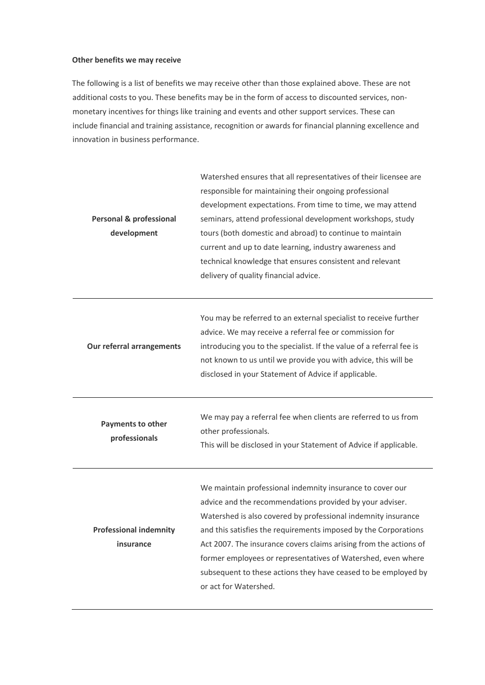#### **Other benefits we may receive**

The following is a list of benefits we may receive other than those explained above. These are not additional costs to you. These benefits may be in the form of access to discounted services, nonmonetary incentives for things like training and events and other support services. These can include financial and training assistance, recognition or awards for financial planning excellence and innovation in business performance.

| <b>Personal &amp; professional</b><br>development | Watershed ensures that all representatives of their licensee are<br>responsible for maintaining their ongoing professional<br>development expectations. From time to time, we may attend<br>seminars, attend professional development workshops, study<br>tours (both domestic and abroad) to continue to maintain<br>current and up to date learning, industry awareness and<br>technical knowledge that ensures consistent and relevant<br>delivery of quality financial advice.        |
|---------------------------------------------------|-------------------------------------------------------------------------------------------------------------------------------------------------------------------------------------------------------------------------------------------------------------------------------------------------------------------------------------------------------------------------------------------------------------------------------------------------------------------------------------------|
| Our referral arrangements                         | You may be referred to an external specialist to receive further<br>advice. We may receive a referral fee or commission for<br>introducing you to the specialist. If the value of a referral fee is<br>not known to us until we provide you with advice, this will be<br>disclosed in your Statement of Advice if applicable.                                                                                                                                                             |
| Payments to other<br>professionals                | We may pay a referral fee when clients are referred to us from<br>other professionals.<br>This will be disclosed in your Statement of Advice if applicable.                                                                                                                                                                                                                                                                                                                               |
| <b>Professional indemnity</b><br>insurance        | We maintain professional indemnity insurance to cover our<br>advice and the recommendations provided by your adviser.<br>Watershed is also covered by professional indemnity insurance<br>and this satisfies the requirements imposed by the Corporations<br>Act 2007. The insurance covers claims arising from the actions of<br>former employees or representatives of Watershed, even where<br>subsequent to these actions they have ceased to be employed by<br>or act for Watershed. |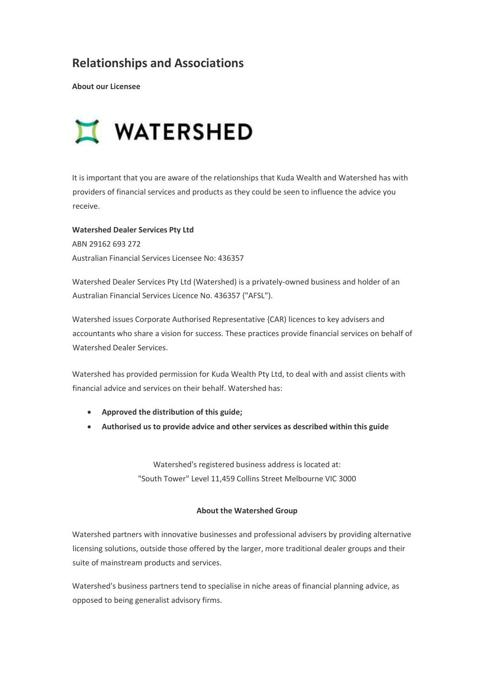### **Relationships and Associations**

**About our Licensee**



It is important that you are aware of the relationships that Kuda Wealth and Watershed has with providers of financial services and products as they could be seen to influence the advice you receive.

**Watershed Dealer Services Pty Ltd**  ABN 29162 693 272 Australian Financial Services Licensee No: 436357

Watershed Dealer Services Pty Ltd (Watershed) is a privately-owned business and holder of an Australian Financial Services Licence No. 436357 {"AFSL").

Watershed issues Corporate Authorised Representative {CAR) licences to key advisers and accountants who share a vision for success. These practices provide financial services on behalf of Watershed Dealer Services.

Watershed has provided permission for Kuda Wealth Pty Ltd, to deal with and assist clients with financial advice and services on their behalf. Watershed has:

- **Approved the distribution of this guide;**
- **Authorised us to provide advice and other services as described within this guide**

Watershed's registered business address is located at: "South Tower" Level 11,459 Collins Street Melbourne VIC 3000

#### **About the Watershed Group**

Watershed partners with innovative businesses and professional advisers by providing alternative licensing solutions, outside those offered by the larger, more traditional dealer groups and their suite of mainstream products and services.

Watershed's business partners tend to specialise in niche areas of financial planning advice, as opposed to being generalist advisory firms.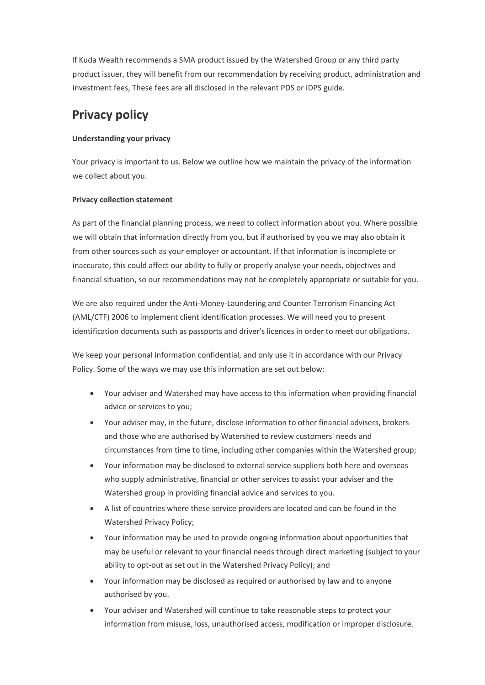If Kuda Wealth recommends a SMA product issued by the Watershed Group or any third party product issuer, they will benefit from our recommendation by receiving product, administration and investment fees, These fees are all disclosed in the relevant PDS or IDPS guide.

### **Privacy policy**

#### **Understanding your privacy**

Your privacy is important to us. Below we outline how we maintain the privacy of the information we collect about you.

#### **Privacy collection statement**

As part of the financial planning process, we need to collect information about you. Where possible we will obtain that information directly from you, but if authorised by you we may also obtain it from other sources such as your employer or accountant. If that information is incomplete or inaccurate, this could affect our ability to fully or properly analyse your needs, objectives and financial situation, so our recommendations may not be completely appropriate or suitable for you.

We are also required under the Anti-Money-Laundering and Counter Terrorism Financing Act (AML/CTF) 2006 to implement client identification processes. We will need you to present identification documents such as passports and driver's licences in order to meet our obligations.

We keep your personal information confidential, and only use it in accordance with our Privacy Policy. Some of the ways we may use this information are set out below:

- Your adviser and Watershed may have access to this information when providing financial advice or services to you;
- Your adviser may, in the future, disclose information to other financial advisers, brokers and those who are authorised by Watershed to review customers' needs and circumstances from time to time, including other companies within the Watershed group;
- Your information may be disclosed to external service suppliers both here and overseas who supply administrative, financial or other services to assist your adviser and the Watershed group in providing financial advice and services to you.
- A list of countries where these service providers are located and can be found in the Watershed Privacy Policy;
- Your information may be used to provide ongoing information about opportunities that may be useful or relevant to your financial needs through direct marketing (subject to your ability to opt-out as set out in the Watershed Privacy Policy); and
- Your information may be disclosed as required or authorised by law and to anyone authorised by you.
- Your adviser and Watershed will continue to take reasonable steps to protect your information from misuse, loss, unauthorised access, modification or improper disclosure.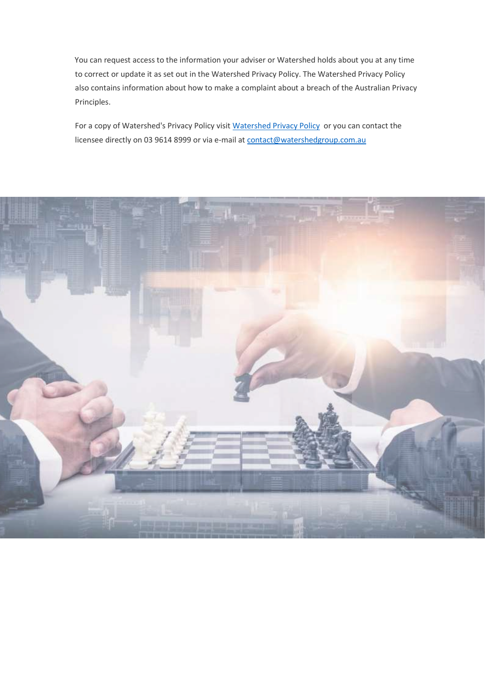You can request access to the information your adviser or Watershed holds about you at any time to correct or update it as set out in the Watershed Privacy Policy. The Watershed Privacy Policy also contains information about how to make a complaint about a breach of the Australian Privacy Principles.

For a copy of Watershed's Privacy Policy visi[t Watershed Privacy Policy](https://www.watershedgroup.com.au/app/uploads/2021/05/Watershed-Privacy-Policy-incl-NDB-June-2020-v3.pdf) or you can contact the licensee directly on 03 9614 8999 or via e-mail at [contact@watershedgroup.com.au](mailto:contact@watershedgroup.com.au)

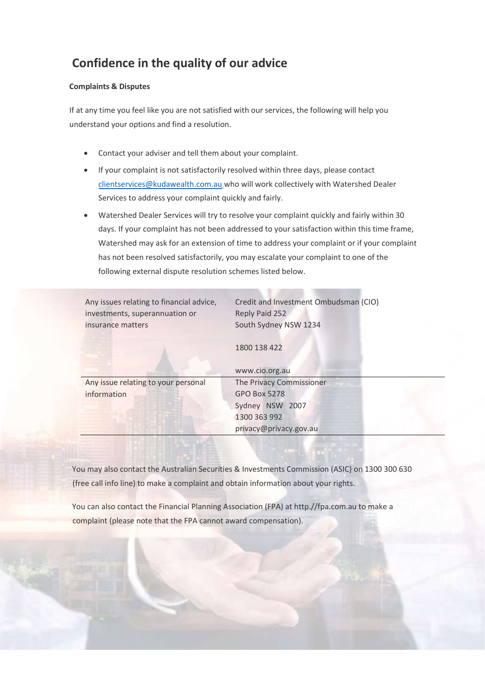### **Confidence in the quality of our advice**

#### **Complaints & Disputes**

If at any time you feel like you are not satisfied with our services, the following will help you understand your options and find a resolution.

- Contact your adviser and tell them about your complaint.
- If your complaint is not satisfactorily resolved within three days, please contact [clientservices@kudawealth.com.au](mailto:clientservices@kudawealth.com.au) who will work collectively with Watershed Dealer Services to address your complaint quickly and fairly.
- Watershed Dealer Services will try to resolve your complaint quickly and fairly within 30 days. If your complaint has not been addressed to your satisfaction within this time frame, Watershed may ask for an extension of time to address your complaint or if your complaint has not been resolved satisfactorily, you may escalate your complaint to one of the following external dispute resolution schemes listed below.

| Any issues relating to financial advice,<br>investments, superannuation or | Credit and Investment Ombudsman (CIO)<br>Reply Paid 252 |
|----------------------------------------------------------------------------|---------------------------------------------------------|
| insurance matters                                                          | South Sydney NSW 1234                                   |
|                                                                            | 1800 138 422                                            |
|                                                                            | www.cio.org.au                                          |
| Any issue relating to your personal                                        | The Privacy Commissioner                                |
| information                                                                | <b>GPO Box 5278</b>                                     |
|                                                                            | Sydney NSW 2007                                         |
|                                                                            | 1300 363 992                                            |
|                                                                            | privacy@privacy.gov.au                                  |
|                                                                            |                                                         |

You may also contact the Australian Securities & Investments Commission (ASIC} on 1300 300 630 (free call info line) to make a complaint and obtain information about your rights.

You can also contact the Financial Planning Association (FPA) at http.//fpa.com.au to make a complaint (please note that the FPA cannot award compensation).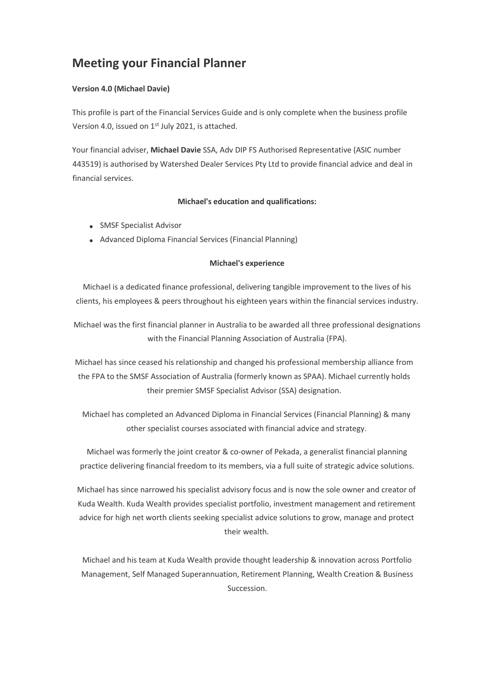### **Meeting your Financial Planner**

#### **Version 4.0 (Michael Davie)**

This profile is part of the Financial Services Guide and is only complete when the business profile Version 4.0, issued on 1<sup>st</sup> July 2021, is attached.

Your financial adviser, **Michael Davie** SSA, Adv DIP FS Authorised Representative (ASIC number 443519) is authorised by Watershed Dealer Services Pty Ltd to provide financial advice and deal in financial services.

#### **Michael's education and qualifications:**

- SMSF Specialist Advisor
- Advanced Diploma Financial Services (Financial Planning)

#### **Michael's experience**

Michael is a dedicated finance professional, delivering tangible improvement to the lives of his clients, his employees & peers throughout his eighteen years within the financial services industry.

Michael was the first financial planner in Australia to be awarded all three professional designations with the Financial Planning Association of Australia {FPA).

Michael has since ceased his relationship and changed his professional membership alliance from the FPA to the SMSF Association of Australia (formerly known as SPAA). Michael currently holds their premier SMSF Specialist Advisor (SSA) designation.

Michael has completed an Advanced Diploma in Financial Services (Financial Planning) & many other specialist courses associated with financial advice and strategy.

Michael was formerly the joint creator & co-owner of Pekada, a generalist financial planning practice delivering financial freedom to its members, via a full suite of strategic advice solutions.

Michael has since narrowed his specialist advisory focus and is now the sole owner and creator of Kuda Wealth. Kuda Wealth provides specialist portfolio, investment management and retirement advice for high net worth clients seeking specialist advice solutions to grow, manage and protect their wealth.

Michael and his team at Kuda Wealth provide thought leadership & innovation across Portfolio Management, Self Managed Superannuation, Retirement Planning, Wealth Creation & Business Succession.